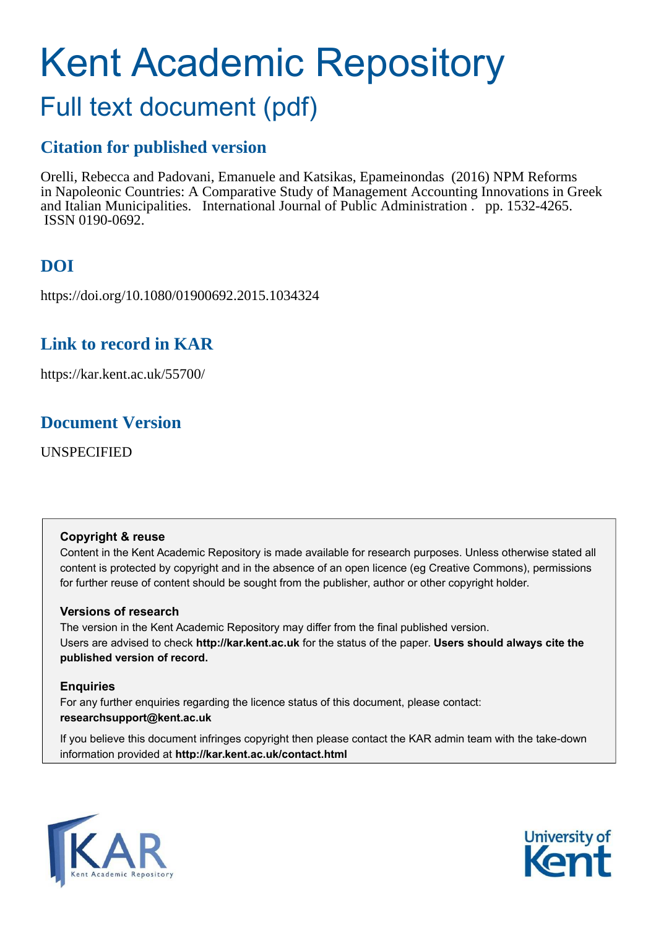# Kent Academic Repository Full text document (pdf)

# **Citation for published version**

Orelli, Rebecca and Padovani, Emanuele and Katsikas, Epameinondas (2016) NPM Reforms in Napoleonic Countries: A Comparative Study of Management Accounting Innovations in Greek and Italian Municipalities. International Journal of Public Administration . pp. 1532-4265. ISSN 0190-0692.

# **DOI**

https://doi.org/10.1080/01900692.2015.1034324

# **Link to record in KAR**

https://kar.kent.ac.uk/55700/

# **Document Version**

UNSPECIFIED

## **Copyright & reuse**

Content in the Kent Academic Repository is made available for research purposes. Unless otherwise stated all content is protected by copyright and in the absence of an open licence (eg Creative Commons), permissions for further reuse of content should be sought from the publisher, author or other copyright holder.

## **Versions of research**

The version in the Kent Academic Repository may differ from the final published version. Users are advised to check **http://kar.kent.ac.uk** for the status of the paper. **Users should always cite the published version of record.**

## **Enquiries**

For any further enquiries regarding the licence status of this document, please contact: **researchsupport@kent.ac.uk**

If you believe this document infringes copyright then please contact the KAR admin team with the take-down information provided at **http://kar.kent.ac.uk/contact.html**



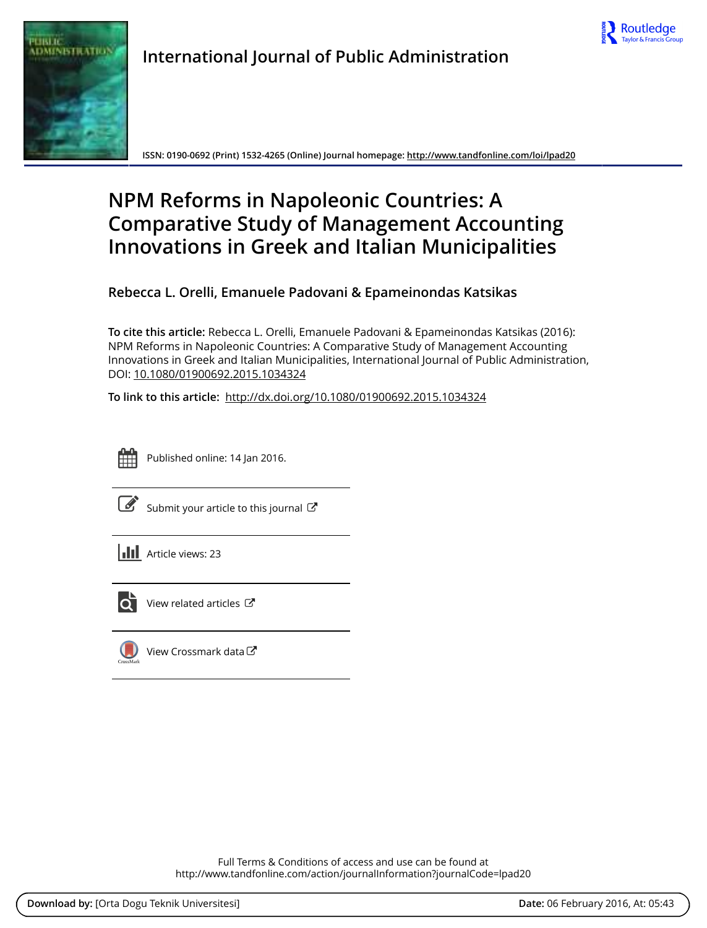



**International Journal of Public Administration**

**ISSN: 0190-0692 (Print) 1532-4265 (Online) Journal homepage:<http://www.tandfonline.com/loi/lpad20>**

# <span id="page-1-0"></span>**NPM Reforms in Napoleonic Countries: A Comparative Study of Management Accounting Innovations in Greek and Italian Municipalities**

**Rebecca L. Orelli, Emanuele Padovani & Epameinondas Katsikas**

**To cite this article:** Rebecca L. Orelli, Emanuele Padovani & Epameinondas Katsikas (2016): NPM Reforms in Napoleonic Countries: A Comparative Study of Management Accounting Innovations in Greek and Italian Municipalities, International Journal of Public Administration, DOI: [10.1080/01900692.2015.1034324](http://www.tandfonline.com/action/showCitFormats?doi=10.1080/01900692.2015.1034324)

**To link to this article:** <http://dx.doi.org/10.1080/01900692.2015.1034324>



Published online: 14 Jan 2016.

|--|

[Submit your article to this journal](http://www.tandfonline.com/action/authorSubmission?journalCode=lpad20&page=instructions)  $\mathbb{Z}$ 

**III** Article views: 23



 $\overrightarrow{Q}$  [View related articles](http://www.tandfonline.com/doi/mlt/10.1080/01900692.2015.1034324)  $\overrightarrow{C}$ 



[View Crossmark data](http://crossmark.crossref.org/dialog/?doi=10.1080/01900692.2015.1034324&domain=pdf&date_stamp=2016-01-14)<sup>で</sup>

Full Terms & Conditions of access and use can be found at <http://www.tandfonline.com/action/journalInformation?journalCode=lpad20>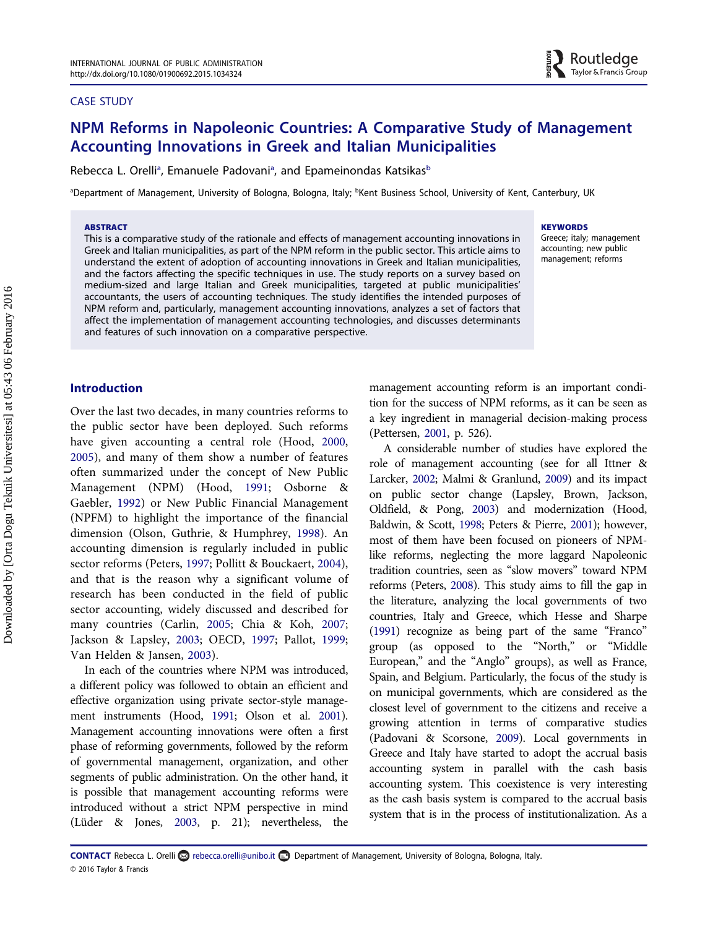#### CASE STUDY

# NPM Reforms in Napoleonic Countries: A Comparative Study of Management Accounting Innovations in Greek and Italian Municipalities

Rebecc[a](#page-1-0) L. Orelli<sup>a</sup>, Emanuele Padovani<sup>a</sup>, and Epameinondas Katsikas<sup>[b](#page-1-0)</sup>

aDepartment of Management, University of Bologna, Bologna, Italy; <sup>b</sup>Kent Business School, University of Kent, Canterbury, UK

#### ABSTRACT

This is a comparative study of the rationale and effects of management accounting innovations in Greek and Italian municipalities, as part of the NPM reform in the public sector. This article aims to understand the extent of adoption of accounting innovations in Greek and Italian municipalities, and the factors affecting the specific techniques in use. The study reports on a survey based on medium-sized and large Italian and Greek municipalities, targeted at public municipalities' accountants, the users of accounting techniques. The study identifies the intended purposes of NPM reform and, particularly, management accounting innovations, analyzes a set of factors that affect the implementation of management accounting technologies, and discusses determinants and features of such innovation on a comparative perspective.

#### **KEYWORDS**

Greece; italy; management accounting; new public management; reforms

#### Introduction

Over the last two decades, in many countries reforms to the public sector have been deployed. Such reforms have given accounting a central role (Hood, [2000,](#page-11-0) [2005](#page-11-1)), and many of them show a number of features often summarized under the concept of New Public Management (NPM) (Hood, [1991;](#page-11-2) Osborne & Gaebler, [1992](#page-12-0)) or New Public Financial Management (NPFM) to highlight the importance of the financial dimension (Olson, Guthrie, & Humphrey, [1998](#page-11-3)). An accounting dimension is regularly included in public sector reforms (Peters, [1997;](#page-12-1) Pollitt & Bouckaert, [2004\)](#page-12-2), and that is the reason why a significant volume of research has been conducted in the field of public sector accounting, widely discussed and described for many countries (Carlin, [2005;](#page-10-0) Chia & Koh, [2007;](#page-10-1) Jackson & Lapsley, [2003](#page-11-4); OECD, [1997;](#page-11-5) Pallot, [1999;](#page-12-3) Van Helden & Jansen, [2003](#page-12-4)).

In each of the countries where NPM was introduced, a different policy was followed to obtain an efficient and effective organization using private sector-style management instruments (Hood, [1991;](#page-11-2) Olson et al. [2001](#page-12-5)). Management accounting innovations were often a first phase of reforming governments, followed by the reform of governmental management, organization, and other segments of public administration. On the other hand, it is possible that management accounting reforms were introduced without a strict NPM perspective in mind (Lüder & Jones, [2003](#page-11-6), p. 21); nevertheless, the management accounting reform is an important condition for the success of NPM reforms, as it can be seen as a key ingredient in managerial decision-making process (Pettersen, [2001](#page-12-6), p. 526).

A considerable number of studies have explored the role of management accounting (see for all Ittner & Larcker, [2002](#page-11-7); Malmi & Granlund, [2009](#page-11-8)) and its impact on public sector change (Lapsley, Brown, Jackson, Oldfield, & Pong, [2003](#page-11-9)) and modernization (Hood, Baldwin, & Scott, [1998;](#page-11-10) Peters & Pierre, [2001\)](#page-12-7); however, most of them have been focused on pioneers of NPMlike reforms, neglecting the more laggard Napoleonic tradition countries, seen as "slow movers" toward NPM reforms (Peters, [2008\)](#page-12-8). This study aims to fill the gap in the literature, analyzing the local governments of two countries, Italy and Greece, which Hesse and Sharpe [\(1991\)](#page-10-2) recognize as being part of the same "Franco" group (as opposed to the "North," or "Middle European," and the "Anglo" groups), as well as France, Spain, and Belgium. Particularly, the focus of the study is on municipal governments, which are considered as the closest level of government to the citizens and receive a growing attention in terms of comparative studies (Padovani & Scorsone, [2009](#page-12-9)). Local governments in Greece and Italy have started to adopt the accrual basis accounting system in parallel with the cash basis accounting system. This coexistence is very interesting as the cash basis system is compared to the accrual basis system that is in the process of institutionalization. As a

CONTACT Rebecca L. Orelli **Contact and Contact Contact Department** of Management, University of Bologna, Bologna, Italy. © 2016 Taylor & Francis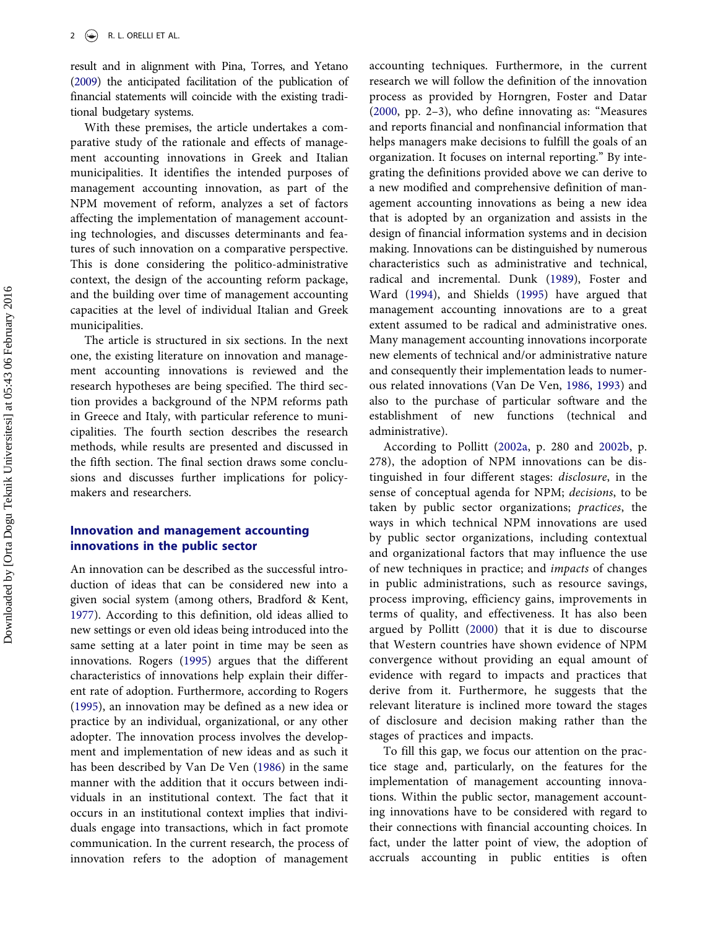result and in alignment with Pina, Torres, and Yetano [\(2009\)](#page-12-10) the anticipated facilitation of the publication of financial statements will coincide with the existing traditional budgetary systems.

With these premises, the article undertakes a comparative study of the rationale and effects of management accounting innovations in Greek and Italian municipalities. It identifies the intended purposes of management accounting innovation, as part of the NPM movement of reform, analyzes a set of factors affecting the implementation of management accounting technologies, and discusses determinants and features of such innovation on a comparative perspective. This is done considering the politico-administrative context, the design of the accounting reform package, and the building over time of management accounting capacities at the level of individual Italian and Greek municipalities.

The article is structured in six sections. In the next one, the existing literature on innovation and management accounting innovations is reviewed and the research hypotheses are being specified. The third section provides a background of the NPM reforms path in Greece and Italy, with particular reference to municipalities. The fourth section describes the research methods, while results are presented and discussed in the fifth section. The final section draws some conclusions and discusses further implications for policymakers and researchers.

### Innovation and management accounting innovations in the public sector

An innovation can be described as the successful introduction of ideas that can be considered new into a given social system (among others, Bradford & Kent, [1977](#page-10-3)). According to this definition, old ideas allied to new settings or even old ideas being introduced into the same setting at a later point in time may be seen as innovations. Rogers ([1995\)](#page-12-11) argues that the different characteristics of innovations help explain their different rate of adoption. Furthermore, according to Rogers ([1995\)](#page-12-11), an innovation may be defined as a new idea or practice by an individual, organizational, or any other adopter. The innovation process involves the development and implementation of new ideas and as such it has been described by Van De Ven ([1986\)](#page-12-12) in the same manner with the addition that it occurs between individuals in an institutional context. The fact that it occurs in an institutional context implies that individuals engage into transactions, which in fact promote communication. In the current research, the process of innovation refers to the adoption of management accounting techniques. Furthermore, in the current research we will follow the definition of the innovation process as provided by Horngren, Foster and Datar ([2000,](#page-11-11) pp. 2–3), who define innovating as: "Measures and reports financial and nonfinancial information that helps managers make decisions to fulfill the goals of an organization. It focuses on internal reporting." By integrating the definitions provided above we can derive to a new modified and comprehensive definition of management accounting innovations as being a new idea that is adopted by an organization and assists in the design of financial information systems and in decision making. Innovations can be distinguished by numerous characteristics such as administrative and technical, radical and incremental. Dunk [\(1989](#page-10-4)), Foster and Ward [\(1994](#page-10-5)), and Shields ([1995](#page-12-13)) have argued that management accounting innovations are to a great extent assumed to be radical and administrative ones. Many management accounting innovations incorporate new elements of technical and/or administrative nature and consequently their implementation leads to numerous related innovations (Van De Ven, [1986](#page-12-12), [1993](#page-12-14)) and also to the purchase of particular software and the establishment of new functions (technical and administrative).

According to Pollitt ([2002a](#page-12-15), p. 280 and [2002b,](#page-12-16) p. 278), the adoption of NPM innovations can be distinguished in four different stages: disclosure, in the sense of conceptual agenda for NPM; decisions, to be taken by public sector organizations; practices, the ways in which technical NPM innovations are used by public sector organizations, including contextual and organizational factors that may influence the use of new techniques in practice; and impacts of changes in public administrations, such as resource savings, process improving, efficiency gains, improvements in terms of quality, and effectiveness. It has also been argued by Pollitt ([2000](#page-12-17)) that it is due to discourse that Western countries have shown evidence of NPM convergence without providing an equal amount of evidence with regard to impacts and practices that derive from it. Furthermore, he suggests that the relevant literature is inclined more toward the stages of disclosure and decision making rather than the stages of practices and impacts.

To fill this gap, we focus our attention on the practice stage and, particularly, on the features for the implementation of management accounting innovations. Within the public sector, management accounting innovations have to be considered with regard to their connections with financial accounting choices. In fact, under the latter point of view, the adoption of accruals accounting in public entities is often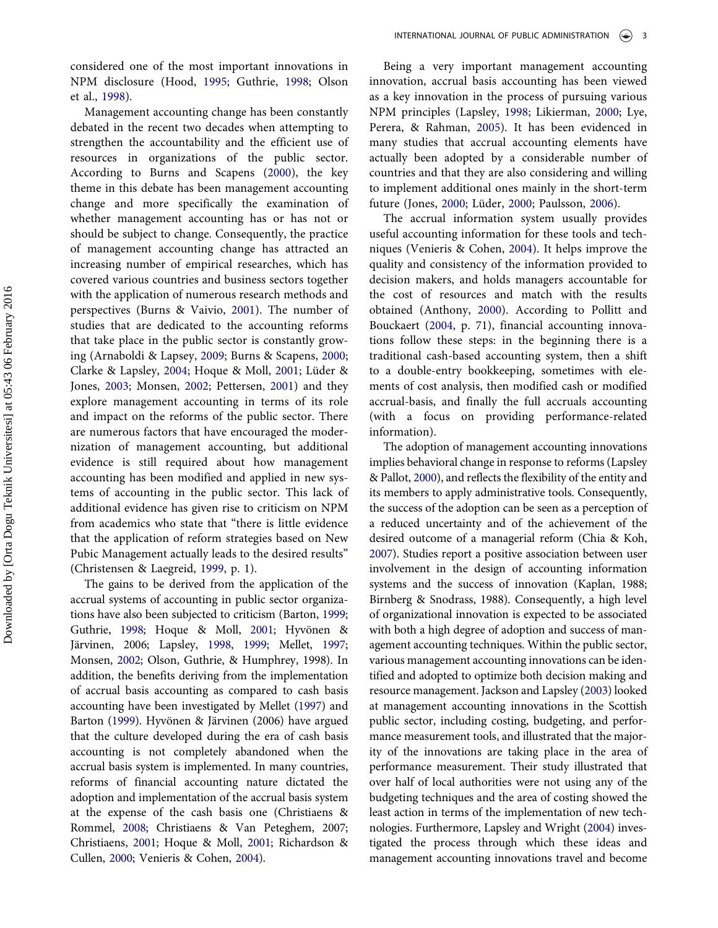considered one of the most important innovations in NPM disclosure (Hood, [1995;](#page-11-12) Guthrie, [1998](#page-10-6); Olson et al., [1998\)](#page-11-3).

Management accounting change has been constantly debated in the recent two decades when attempting to strengthen the accountability and the efficient use of resources in organizations of the public sector. According to Burns and Scapens [\(2000](#page-10-7)), the key theme in this debate has been management accounting change and more specifically the examination of whether management accounting has or has not or should be subject to change. Consequently, the practice of management accounting change has attracted an increasing number of empirical researches, which has covered various countries and business sectors together with the application of numerous research methods and perspectives (Burns & Vaivio, [2001\)](#page-10-8). The number of studies that are dedicated to the accounting reforms that take place in the public sector is constantly growing (Arnaboldi & Lapsey, [2009](#page-10-9); Burns & Scapens, [2000;](#page-10-7) Clarke & Lapsley, [2004;](#page-10-10) Hoque & Moll, [2001](#page-11-13); Lüder & Jones, [2003;](#page-11-6) Monsen, [2002;](#page-11-14) Pettersen, [2001\)](#page-12-6) and they explore management accounting in terms of its role and impact on the reforms of the public sector. There are numerous factors that have encouraged the modernization of management accounting, but additional evidence is still required about how management accounting has been modified and applied in new systems of accounting in the public sector. This lack of additional evidence has given rise to criticism on NPM from academics who state that "there is little evidence that the application of reform strategies based on New Pubic Management actually leads to the desired results" (Christensen & Laegreid, [1999,](#page-10-11) p. 1).

The gains to be derived from the application of the accrual systems of accounting in public sector organizations have also been subjected to criticism (Barton, [1999;](#page-10-12) Guthrie, [1998](#page-10-6); Hoque & Moll, [2001](#page-11-13); Hyvönen & Järvinen, 2006; Lapsley, [1998,](#page-11-15) [1999](#page-11-16); Mellet, [1997;](#page-11-17) Monsen, [2002;](#page-11-14) Olson, Guthrie, & Humphrey, 1998). In addition, the benefits deriving from the implementation of accrual basis accounting as compared to cash basis accounting have been investigated by Mellet [\(1997](#page-11-17)) and Barton [\(1999](#page-10-12)). Hyvönen & Järvinen (2006) have argued that the culture developed during the era of cash basis accounting is not completely abandoned when the accrual basis system is implemented. In many countries, reforms of financial accounting nature dictated the adoption and implementation of the accrual basis system at the expense of the cash basis one (Christiaens & Rommel, [2008](#page-10-13); Christiaens & Van Peteghem, 2007; Christiaens, [2001](#page-10-14); Hoque & Moll, [2001;](#page-11-13) Richardson & Cullen, [2000;](#page-12-18) Venieris & Cohen, [2004\)](#page-12-19).

Being a very important management accounting innovation, accrual basis accounting has been viewed as a key innovation in the process of pursuing various NPM principles (Lapsley, [1998;](#page-11-15) Likierman, [2000;](#page-11-18) Lye, Perera, & Rahman, [2005\)](#page-11-19). It has been evidenced in many studies that accrual accounting elements have actually been adopted by a considerable number of countries and that they are also considering and willing to implement additional ones mainly in the short-term future (Jones, [2000;](#page-11-20) Lüder, [2000;](#page-11-21) Paulsson, [2006](#page-12-20)).

The accrual information system usually provides useful accounting information for these tools and techniques (Venieris & Cohen, [2004](#page-12-19)). It helps improve the quality and consistency of the information provided to decision makers, and holds managers accountable for the cost of resources and match with the results obtained (Anthony, [2000\)](#page-10-15). According to Pollitt and Bouckaert [\(2004](#page-12-2), p. 71), financial accounting innovations follow these steps: in the beginning there is a traditional cash-based accounting system, then a shift to a double-entry bookkeeping, sometimes with elements of cost analysis, then modified cash or modified accrual-basis, and finally the full accruals accounting (with a focus on providing performance-related information).

The adoption of management accounting innovations implies behavioral change in response to reforms (Lapsley & Pallot, [2000](#page-11-22)), and reflects the flexibility of the entity and its members to apply administrative tools. Consequently, the success of the adoption can be seen as a perception of a reduced uncertainty and of the achievement of the desired outcome of a managerial reform (Chia & Koh, [2007\)](#page-10-1). Studies report a positive association between user involvement in the design of accounting information systems and the success of innovation (Kaplan, 1988; Birnberg & Snodrass, 1988). Consequently, a high level of organizational innovation is expected to be associated with both a high degree of adoption and success of management accounting techniques. Within the public sector, various management accounting innovations can be identified and adopted to optimize both decision making and resource management. Jackson and Lapsley ([2003](#page-11-4)) looked at management accounting innovations in the Scottish public sector, including costing, budgeting, and performance measurement tools, and illustrated that the majority of the innovations are taking place in the area of performance measurement. Their study illustrated that over half of local authorities were not using any of the budgeting techniques and the area of costing showed the least action in terms of the implementation of new technologies. Furthermore, Lapsley and Wright [\(2004\)](#page-11-23) investigated the process through which these ideas and management accounting innovations travel and become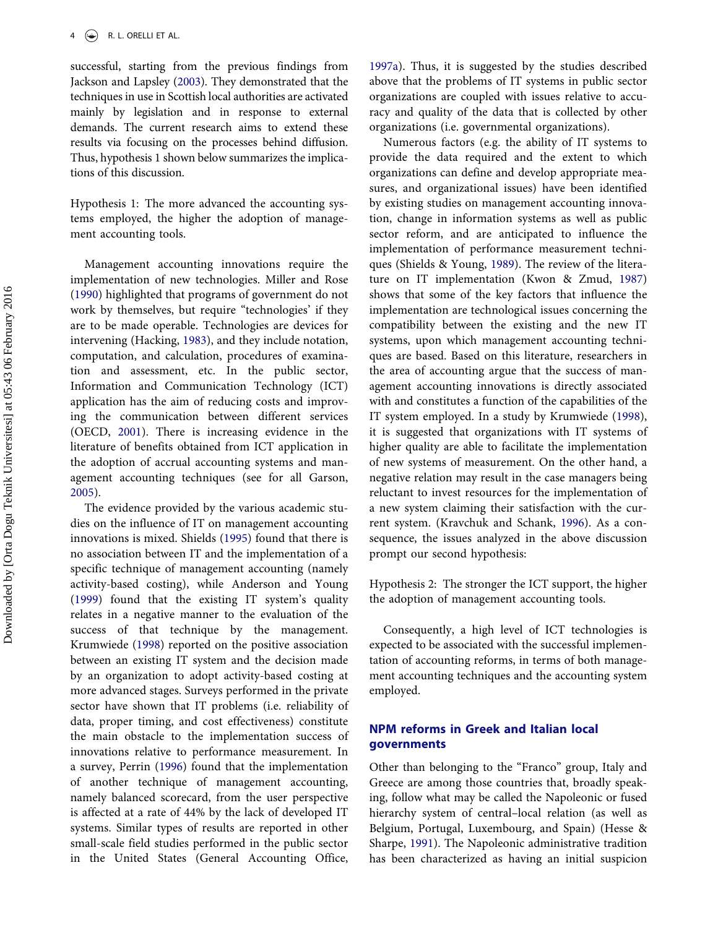successful, starting from the previous findings from Jackson and Lapsley [\(2003](#page-11-4)). They demonstrated that the techniques in use in Scottish local authorities are activated mainly by legislation and in response to external demands. The current research aims to extend these results via focusing on the processes behind diffusion. Thus, hypothesis 1 shown below summarizes the implications of this discussion.

Hypothesis 1: The more advanced the accounting systems employed, the higher the adoption of management accounting tools.

Management accounting innovations require the implementation of new technologies. Miller and Rose ([1990\)](#page-11-24) highlighted that programs of government do not work by themselves, but require "technologies' if they are to be made operable. Technologies are devices for intervening (Hacking, [1983](#page-10-16)), and they include notation, computation, and calculation, procedures of examination and assessment, etc. In the public sector, Information and Communication Technology (ICT) application has the aim of reducing costs and improving the communication between different services (OECD, [2001\)](#page-11-25). There is increasing evidence in the literature of benefits obtained from ICT application in the adoption of accrual accounting systems and management accounting techniques (see for all Garson, [2005](#page-10-17)).

The evidence provided by the various academic studies on the influence of IT on management accounting innovations is mixed. Shields [\(1995](#page-12-13)) found that there is no association between IT and the implementation of a specific technique of management accounting (namely activity-based costing), while Anderson and Young ([1999\)](#page-9-0) found that the existing IT system's quality relates in a negative manner to the evaluation of the success of that technique by the management. Krumwiede ([1998\)](#page-11-26) reported on the positive association between an existing IT system and the decision made by an organization to adopt activity-based costing at more advanced stages. Surveys performed in the private sector have shown that IT problems (i.e. reliability of data, proper timing, and cost effectiveness) constitute the main obstacle to the implementation success of innovations relative to performance measurement. In a survey, Perrin ([1996\)](#page-12-21) found that the implementation of another technique of management accounting, namely balanced scorecard, from the user perspective is affected at a rate of 44% by the lack of developed IT systems. Similar types of results are reported in other small-scale field studies performed in the public sector in the United States (General Accounting Office, [1997a\)](#page-10-18). Thus, it is suggested by the studies described above that the problems of IT systems in public sector organizations are coupled with issues relative to accuracy and quality of the data that is collected by other organizations (i.e. governmental organizations).

Numerous factors (e.g. the ability of IT systems to provide the data required and the extent to which organizations can define and develop appropriate measures, and organizational issues) have been identified by existing studies on management accounting innovation, change in information systems as well as public sector reform, and are anticipated to influence the implementation of performance measurement techniques (Shields & Young, [1989\)](#page-12-22). The review of the literature on IT implementation (Kwon & Zmud, [1987](#page-11-27)) shows that some of the key factors that influence the implementation are technological issues concerning the compatibility between the existing and the new IT systems, upon which management accounting techniques are based. Based on this literature, researchers in the area of accounting argue that the success of management accounting innovations is directly associated with and constitutes a function of the capabilities of the IT system employed. In a study by Krumwiede ([1998\)](#page-11-26), it is suggested that organizations with IT systems of higher quality are able to facilitate the implementation of new systems of measurement. On the other hand, a negative relation may result in the case managers being reluctant to invest resources for the implementation of a new system claiming their satisfaction with the current system. (Kravchuk and Schank, [1996](#page-11-28)). As a consequence, the issues analyzed in the above discussion prompt our second hypothesis:

Hypothesis 2: The stronger the ICT support, the higher the adoption of management accounting tools.

Consequently, a high level of ICT technologies is expected to be associated with the successful implementation of accounting reforms, in terms of both management accounting techniques and the accounting system employed.

### NPM reforms in Greek and Italian local governments

Other than belonging to the "Franco" group, Italy and Greece are among those countries that, broadly speaking, follow what may be called the Napoleonic or fused hierarchy system of central–local relation (as well as Belgium, Portugal, Luxembourg, and Spain) (Hesse & Sharpe, [1991\)](#page-10-2). The Napoleonic administrative tradition has been characterized as having an initial suspicion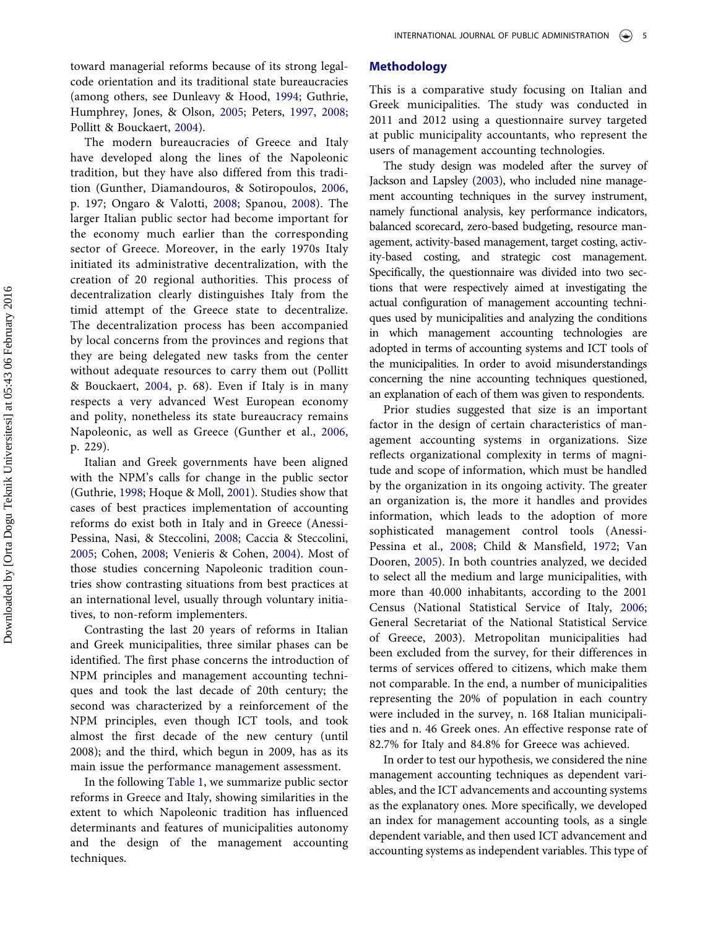<span id="page-6-0"></span>toward managerial reforms because of its strong legalcode orientation and its traditional state bureaucracies (among others, see Dunleavy & Hood, [1994;](#page-10-19) Guthrie, Humphrey, Jones, & Olson, [2005;](#page-10-20) Peters, [1997,](#page-12-1) [2008;](#page-12-8) Pollitt & Bouckaert, [2004](#page-12-2)).

The modern bureaucracies of Greece and Italy have developed along the lines of the Napoleonic tradition, but they have also differed from this tradition (Gunther, Diamandouros, & Sotiropoulos, [2006,](#page-10-21) p. 197; Ongaro & Valotti, [2008](#page-12-23); Spanou, [2008](#page-12-24)). The larger Italian public sector had become important for the economy much earlier than the corresponding sector of Greece. Moreover, in the early 1970s Italy initiated its administrative decentralization, with the creation of 20 regional authorities. This process of decentralization clearly distinguishes Italy from the timid attempt of the Greece state to decentralize. The decentralization process has been accompanied by local concerns from the provinces and regions that they are being delegated new tasks from the center without adequate resources to carry them out (Pollitt & Bouckaert, [2004](#page-12-2), p. 68). Even if Italy is in many respects a very advanced West European economy and polity, nonetheless its state bureaucracy remains Napoleonic, as well as Greece (Gunther et al., [2006,](#page-10-21) p. 229).

Italian and Greek governments have been aligned with the NPM's calls for change in the public sector (Guthrie, [1998;](#page-10-6) Hoque & Moll, [2001\)](#page-11-13). Studies show that cases of best practices implementation of accounting reforms do exist both in Italy and in Greece (Anessi-Pessina, Nasi, & Steccolini, [2008](#page-10-22); Caccia & Steccolini, [2005](#page-10-23); Cohen, [2008](#page-10-24); Venieris & Cohen, [2004\)](#page-12-19). Most of those studies concerning Napoleonic tradition countries show contrasting situations from best practices at an international level, usually through voluntary initiatives, to non-reform implementers.

Contrasting the last 20 years of reforms in Italian and Greek municipalities, three similar phases can be identified. The first phase concerns the introduction of NPM principles and management accounting techniques and took the last decade of 20th century; the second was characterized by a reinforcement of the NPM principles, even though ICT tools, and took almost the first decade of the new century (until 2008); and the third, which begun in 2009, has as its main issue the performance management assessment.

In the following [Table 1,](#page-6-0) we summarize public sector reforms in Greece and Italy, showing similarities in the extent to which Napoleonic tradition has influenced determinants and features of municipalities autonomy and the design of the management accounting techniques.

#### Methodology

This is a comparative study focusing on Italian and Greek municipalities. The study was conducted in 2011 and 2012 using a questionnaire survey targeted at public municipality accountants, who represent the users of management accounting technologies.

The study design was modeled after the survey of Jackson and Lapsley [\(2003](#page-11-4)), who included nine management accounting techniques in the survey instrument, namely functional analysis, key performance indicators, balanced scorecard, zero-based budgeting, resource management, activity-based management, target costing, activity-based costing, and strategic cost management. Specifically, the questionnaire was divided into two sections that were respectively aimed at investigating the actual configuration of management accounting techniques used by municipalities and analyzing the conditions in which management accounting technologies are adopted in terms of accounting systems and ICT tools of the municipalities. In order to avoid misunderstandings concerning the nine accounting techniques questioned, an explanation of each of them was given to respondents.

Prior studies suggested that size is an important factor in the design of certain characteristics of management accounting systems in organizations. Size reflects organizational complexity in terms of magnitude and scope of information, which must be handled by the organization in its ongoing activity. The greater an organization is, the more it handles and provides information, which leads to the adoption of more sophisticated management control tools (Anessi-Pessina et al., [2008;](#page-10-22) Child & Mansfield, [1972;](#page-10-25) Van Dooren, [2005](#page-12-25)). In both countries analyzed, we decided to select all the medium and large municipalities, with more than 40.000 inhabitants, according to the 2001 Census (National Statistical Service of Italy, [2006;](#page-11-29) General Secretariat of the National Statistical Service of Greece, 2003). Metropolitan municipalities had been excluded from the survey, for their differences in terms of services offered to citizens, which make them not comparable. In the end, a number of municipalities representing the 20% of population in each country were included in the survey, n. 168 Italian municipalities and n. 46 Greek ones. An effective response rate of 82.7% for Italy and 84.8% for Greece was achieved.

In order to test our hypothesis, we considered the nine management accounting techniques as dependent variables, and the ICT advancements and accounting systems as the explanatory ones. More specifically, we developed an index for management accounting tools, as a single dependent variable, and then used ICT advancement and accounting systems as independent variables. This type of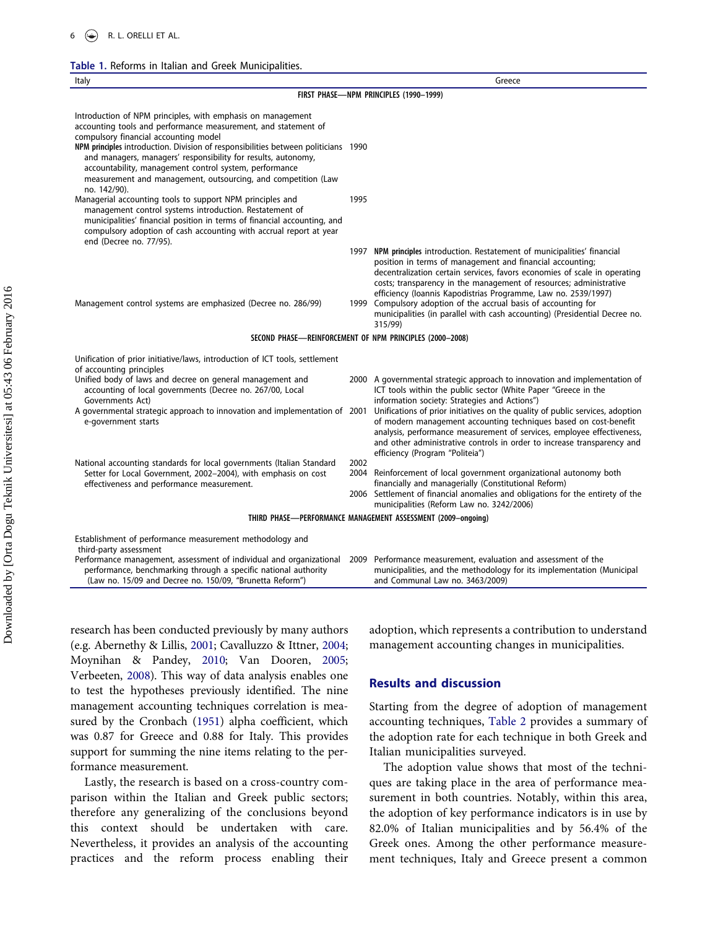#### <span id="page-7-0"></span>Table 1. Reforms in Italian and Greek Municipalities.

| Italy                                                                                                                                                                                                                                                                                                                                                                                                                                                                    |      | Greece                                                                                                                                                                                                                                                                                                                                                       |  |  |  |  |  |  |  |  |
|--------------------------------------------------------------------------------------------------------------------------------------------------------------------------------------------------------------------------------------------------------------------------------------------------------------------------------------------------------------------------------------------------------------------------------------------------------------------------|------|--------------------------------------------------------------------------------------------------------------------------------------------------------------------------------------------------------------------------------------------------------------------------------------------------------------------------------------------------------------|--|--|--|--|--|--|--|--|
| FIRST PHASE-NPM PRINCIPLES (1990-1999)                                                                                                                                                                                                                                                                                                                                                                                                                                   |      |                                                                                                                                                                                                                                                                                                                                                              |  |  |  |  |  |  |  |  |
| Introduction of NPM principles, with emphasis on management<br>accounting tools and performance measurement, and statement of<br>compulsory financial accounting model<br>NPM principles introduction. Division of responsibilities between politicians 1990<br>and managers, managers' responsibility for results, autonomy,<br>accountability, management control system, performance<br>measurement and management, outsourcing, and competition (Law<br>no. 142/90). |      |                                                                                                                                                                                                                                                                                                                                                              |  |  |  |  |  |  |  |  |
| Managerial accounting tools to support NPM principles and<br>management control systems introduction. Restatement of<br>municipalities' financial position in terms of financial accounting, and<br>compulsory adoption of cash accounting with accrual report at year<br>end (Decree no. 77/95).                                                                                                                                                                        | 1995 |                                                                                                                                                                                                                                                                                                                                                              |  |  |  |  |  |  |  |  |
|                                                                                                                                                                                                                                                                                                                                                                                                                                                                          |      | 1997 NPM principles introduction. Restatement of municipalities' financial<br>position in terms of management and financial accounting;<br>decentralization certain services, favors economies of scale in operating<br>costs; transparency in the management of resources; administrative<br>efficiency (Ioannis Kapodistrias Programme, Law no. 2539/1997) |  |  |  |  |  |  |  |  |
| Management control systems are emphasized (Decree no. 286/99)                                                                                                                                                                                                                                                                                                                                                                                                            |      | 1999 Compulsory adoption of the accrual basis of accounting for<br>municipalities (in parallel with cash accounting) (Presidential Decree no.<br>315/99)                                                                                                                                                                                                     |  |  |  |  |  |  |  |  |
| SECOND PHASE-REINFORCEMENT OF NPM PRINCIPLES (2000-2008)                                                                                                                                                                                                                                                                                                                                                                                                                 |      |                                                                                                                                                                                                                                                                                                                                                              |  |  |  |  |  |  |  |  |
| Unification of prior initiative/laws, introduction of ICT tools, settlement<br>of accounting principles                                                                                                                                                                                                                                                                                                                                                                  |      |                                                                                                                                                                                                                                                                                                                                                              |  |  |  |  |  |  |  |  |
| Unified body of laws and decree on general management and<br>accounting of local governments (Decree no. 267/00, Local<br>Governments Act)                                                                                                                                                                                                                                                                                                                               |      | 2000 A governmental strategic approach to innovation and implementation of<br>ICT tools within the public sector (White Paper "Greece in the<br>information society: Strategies and Actions")                                                                                                                                                                |  |  |  |  |  |  |  |  |
| A governmental strategic approach to innovation and implementation of 2001<br>e-government starts                                                                                                                                                                                                                                                                                                                                                                        |      | Unifications of prior initiatives on the quality of public services, adoption<br>of modern management accounting techniques based on cost-benefit<br>analysis, performance measurement of services, employee effectiveness,<br>and other administrative controls in order to increase transparency and<br>efficiency (Program "Politeia")                    |  |  |  |  |  |  |  |  |
| National accounting standards for local governments (Italian Standard<br>Setter for Local Government, 2002-2004), with emphasis on cost<br>effectiveness and performance measurement.                                                                                                                                                                                                                                                                                    | 2002 | 2004 Reinforcement of local government organizational autonomy both<br>financially and managerially (Constitutional Reform)<br>2006 Settlement of financial anomalies and obligations for the entirety of the<br>municipalities (Reform Law no. 3242/2006)                                                                                                   |  |  |  |  |  |  |  |  |
| THIRD PHASE—PERFORMANCE MANAGEMENT ASSESSMENT (2009-ongoing)                                                                                                                                                                                                                                                                                                                                                                                                             |      |                                                                                                                                                                                                                                                                                                                                                              |  |  |  |  |  |  |  |  |
| Establishment of performance measurement methodology and<br>third-party assessment                                                                                                                                                                                                                                                                                                                                                                                       |      |                                                                                                                                                                                                                                                                                                                                                              |  |  |  |  |  |  |  |  |
| Performance management, assessment of individual and organizational<br>performance, benchmarking through a specific national authority<br>(Law no. 15/09 and Decree no. 150/09, "Brunetta Reform")                                                                                                                                                                                                                                                                       |      | 2009 Performance measurement, evaluation and assessment of the<br>municipalities, and the methodology for its implementation (Municipal<br>and Communal Law no. 3463/2009)                                                                                                                                                                                   |  |  |  |  |  |  |  |  |

research has been conducted previously by many authors (e.g. Abernethy & Lillis, [2001](#page-9-1); Cavalluzzo & Ittner, [2004;](#page-10-26) Moynihan & Pandey, [2010](#page-11-30); Van Dooren, [2005;](#page-12-25) Verbeeten, [2008](#page-12-26)). This way of data analysis enables one to test the hypotheses previously identified. The nine management accounting techniques correlation is measured by the Cronbach ([1951\)](#page-10-27) alpha coefficient, which was 0.87 for Greece and 0.88 for Italy. This provides support for summing the nine items relating to the performance measurement.

Lastly, the research is based on a cross-country comparison within the Italian and Greek public sectors; therefore any generalizing of the conclusions beyond this context should be undertaken with care. Nevertheless, it provides an analysis of the accounting practices and the reform process enabling their adoption, which represents a contribution to understand management accounting changes in municipalities.

### Results and discussion

Starting from the degree of adoption of management accounting techniques, [Table 2](#page-7-0) provides a summary of the adoption rate for each technique in both Greek and Italian municipalities surveyed.

The adoption value shows that most of the techniques are taking place in the area of performance measurement in both countries. Notably, within this area, the adoption of key performance indicators is in use by 82.0% of Italian municipalities and by 56.4% of the Greek ones. Among the other performance measurement techniques, Italy and Greece present a common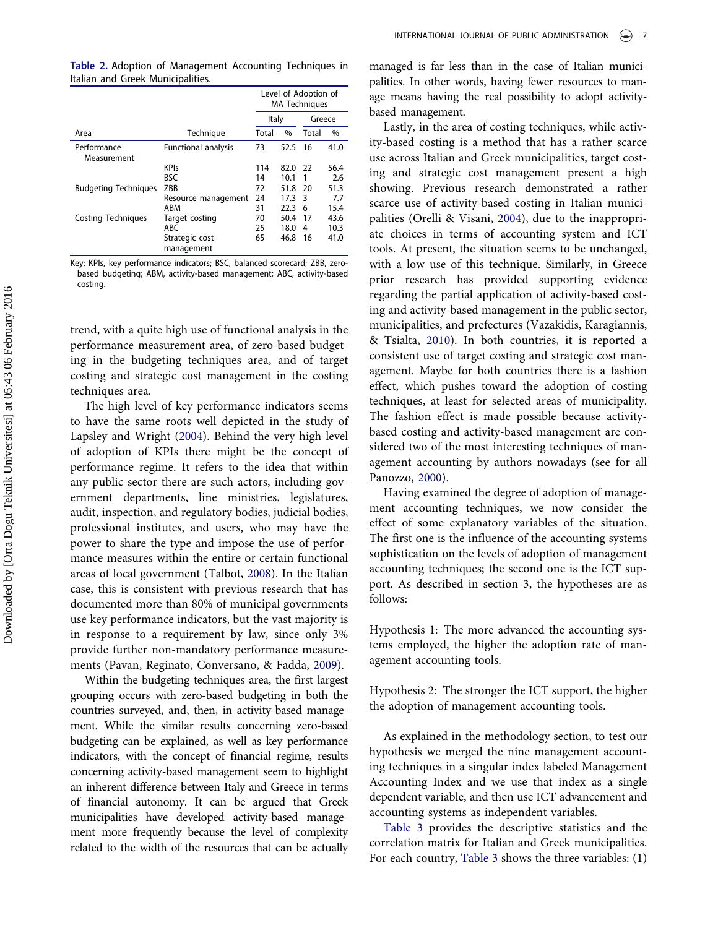<span id="page-8-0"></span>Table 2. Adoption of Management Accounting Techniques in Italian and Greek Municipalities.

|                             |                            |       | Level of Adoption of<br><b>MA Techniques</b> |        |      |  |
|-----------------------------|----------------------------|-------|----------------------------------------------|--------|------|--|
|                             |                            | Italy |                                              | Greece |      |  |
| Area                        | Technique                  | Total | $\%$                                         | Total  | %    |  |
| Performance<br>Measurement  | <b>Functional analysis</b> | 73    | 52.5                                         | 16     | 41.0 |  |
|                             | <b>KPIs</b>                | 114   | 82.0                                         | 22     | 56.4 |  |
|                             | <b>BSC</b>                 | 14    | 10.1                                         | 1      | 2.6  |  |
| <b>Budgeting Techniques</b> | ZBB                        | 72    | 51.8                                         | 20     | 51.3 |  |
|                             | Resource management        | 24    | 17.3                                         | 3      | 7.7  |  |
|                             | ABM                        | 31    | 22.3                                         | 6      | 15.4 |  |
| <b>Costing Techniques</b>   | Target costing             | 70    | 50.4                                         | 17     | 43.6 |  |
|                             | <b>ABC</b>                 | 25    | 18.0                                         | 4      | 10.3 |  |
|                             | Strategic cost             | 65    | 46.8                                         | 16     | 41.0 |  |
|                             | management                 |       |                                              |        |      |  |

Key: KPIs, key performance indicators; BSC, balanced scorecard; ZBB, zerobased budgeting; ABM, activity-based management; ABC, activity-based costing.

trend, with a quite high use of functional analysis in the performance measurement area, of zero-based budgeting in the budgeting techniques area, and of target costing and strategic cost management in the costing techniques area.

The high level of key performance indicators seems to have the same roots well depicted in the study of Lapsley and Wright ([2004\)](#page-11-23). Behind the very high level of adoption of KPIs there might be the concept of performance regime. It refers to the idea that within any public sector there are such actors, including government departments, line ministries, legislatures, audit, inspection, and regulatory bodies, judicial bodies, professional institutes, and users, who may have the power to share the type and impose the use of performance measures within the entire or certain functional areas of local government (Talbot, [2008](#page-12-27)). In the Italian case, this is consistent with previous research that has documented more than 80% of municipal governments use key performance indicators, but the vast majority is in response to a requirement by law, since only 3% provide further non-mandatory performance measurements (Pavan, Reginato, Conversano, & Fadda, [2009\)](#page-12-28).

Within the budgeting techniques area, the first largest grouping occurs with zero-based budgeting in both the countries surveyed, and, then, in activity-based management. While the similar results concerning zero-based budgeting can be explained, as well as key performance indicators, with the concept of financial regime, results concerning activity-based management seem to highlight an inherent difference between Italy and Greece in terms of financial autonomy. It can be argued that Greek municipalities have developed activity-based management more frequently because the level of complexity related to the width of the resources that can be actually

managed is far less than in the case of Italian municipalities. In other words, having fewer resources to manage means having the real possibility to adopt activitybased management.

Lastly, in the area of costing techniques, while activity-based costing is a method that has a rather scarce use across Italian and Greek municipalities, target costing and strategic cost management present a high showing. Previous research demonstrated a rather scarce use of activity-based costing in Italian municipalities (Orelli & Visani, [2004\)](#page-12-29), due to the inappropriate choices in terms of accounting system and ICT tools. At present, the situation seems to be unchanged, with a low use of this technique. Similarly, in Greece prior research has provided supporting evidence regarding the partial application of activity-based costing and activity-based management in the public sector, municipalities, and prefectures (Vazakidis, Karagiannis, & Tsialta, [2010](#page-12-30)). In both countries, it is reported a consistent use of target costing and strategic cost management. Maybe for both countries there is a fashion effect, which pushes toward the adoption of costing techniques, at least for selected areas of municipality. The fashion effect is made possible because activitybased costing and activity-based management are considered two of the most interesting techniques of management accounting by authors nowadays (see for all Panozzo, [2000\)](#page-12-31).

Having examined the degree of adoption of management accounting techniques, we now consider the effect of some explanatory variables of the situation. The first one is the influence of the accounting systems sophistication on the levels of adoption of management accounting techniques; the second one is the ICT support. As described in section 3, the hypotheses are as follows:

Hypothesis 1: The more advanced the accounting systems employed, the higher the adoption rate of management accounting tools.

Hypothesis 2: The stronger the ICT support, the higher the adoption of management accounting tools.

As explained in the methodology section, to test our hypothesis we merged the nine management accounting techniques in a singular index labeled Management Accounting Index and we use that index as a single dependent variable, and then use ICT advancement and accounting systems as independent variables.

[Table 3](#page-8-0) provides the descriptive statistics and the correlation matrix for Italian and Greek municipalities. For each country, [Table 3](#page-8-0) shows the three variables: (1)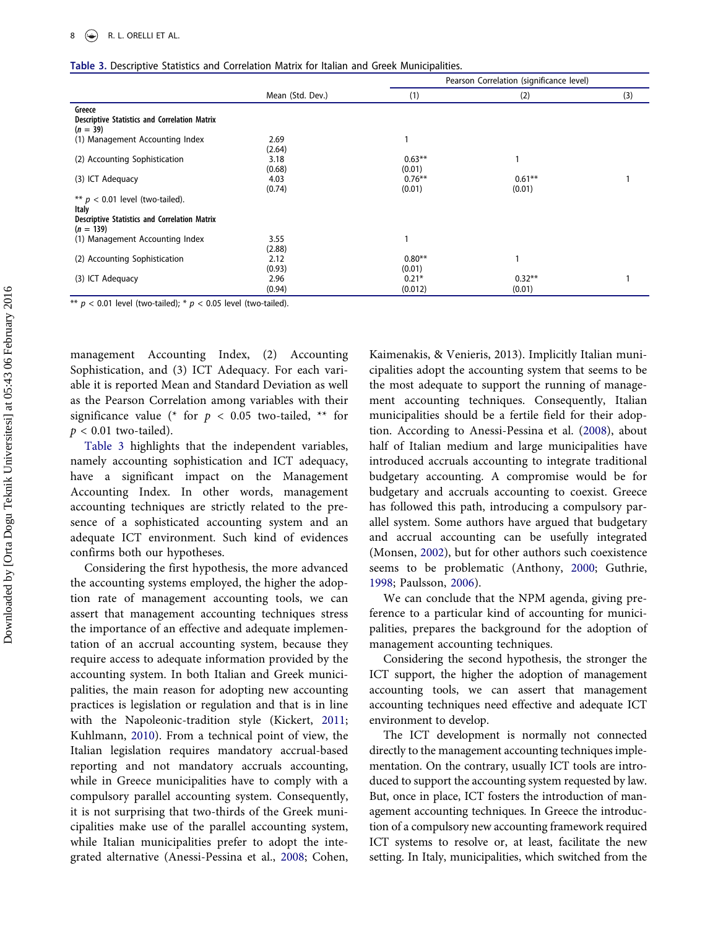|  |  |  |  |  | Table 3. Descriptive Statistics and Correlation Matrix for Italian and Greek Municipalities. |
|--|--|--|--|--|----------------------------------------------------------------------------------------------|
|  |  |  |  |  |                                                                                              |

|                                                                              |                  | Pearson Correlation (significance level) |                     |     |  |  |  |
|------------------------------------------------------------------------------|------------------|------------------------------------------|---------------------|-----|--|--|--|
|                                                                              | Mean (Std. Dev.) | (1)                                      | (2)                 | (3) |  |  |  |
| Greece<br><b>Descriptive Statistics and Correlation Matrix</b><br>$(n = 39)$ |                  |                                          |                     |     |  |  |  |
| (1) Management Accounting Index                                              | 2.69<br>(2.64)   |                                          |                     |     |  |  |  |
| (2) Accounting Sophistication                                                | 3.18<br>(0.68)   | $0.63***$<br>(0.01)                      |                     |     |  |  |  |
| (3) ICT Adequacy                                                             | 4.03<br>(0.74)   | $0.76***$<br>(0.01)                      | $0.61***$<br>(0.01) |     |  |  |  |
| ** $p < 0.01$ level (two-tailed).<br>Italy                                   |                  |                                          |                     |     |  |  |  |
| <b>Descriptive Statistics and Correlation Matrix</b><br>$(n = 139)$          |                  |                                          |                     |     |  |  |  |
| (1) Management Accounting Index                                              | 3.55<br>(2.88)   |                                          |                     |     |  |  |  |
| (2) Accounting Sophistication                                                | 2.12<br>(0.93)   | $0.80**$<br>(0.01)                       | 1                   |     |  |  |  |
| (3) ICT Adequacy                                                             | 2.96<br>(0.94)   | $0.21*$<br>(0.012)                       | $0.32***$<br>(0.01) |     |  |  |  |

\*\*  $p < 0.01$  level (two-tailed); \*  $p < 0.05$  level (two-tailed).

management Accounting Index, (2) Accounting Sophistication, and (3) ICT Adequacy. For each variable it is reported Mean and Standard Deviation as well as the Pearson Correlation among variables with their significance value (\* for  $p < 0.05$  two-tailed, \*\* for  $p < 0.01$  two-tailed).

[Table 3](#page-8-0) highlights that the independent variables, namely accounting sophistication and ICT adequacy, have a significant impact on the Management Accounting Index. In other words, management accounting techniques are strictly related to the presence of a sophisticated accounting system and an adequate ICT environment. Such kind of evidences confirms both our hypotheses.

Considering the first hypothesis, the more advanced the accounting systems employed, the higher the adoption rate of management accounting tools, we can assert that management accounting techniques stress the importance of an effective and adequate implementation of an accrual accounting system, because they require access to adequate information provided by the accounting system. In both Italian and Greek municipalities, the main reason for adopting new accounting practices is legislation or regulation and that is in line with the Napoleonic-tradition style (Kickert, [2011;](#page-11-31) Kuhlmann, [2010\)](#page-11-32). From a technical point of view, the Italian legislation requires mandatory accrual-based reporting and not mandatory accruals accounting, while in Greece municipalities have to comply with a compulsory parallel accounting system. Consequently, it is not surprising that two-thirds of the Greek municipalities make use of the parallel accounting system, while Italian municipalities prefer to adopt the integrated alternative (Anessi-Pessina et al., [2008;](#page-10-22) Cohen, Kaimenakis, & Venieris, 2013). Implicitly Italian municipalities adopt the accounting system that seems to be the most adequate to support the running of management accounting techniques. Consequently, Italian municipalities should be a fertile field for their adoption. According to Anessi-Pessina et al. [\(2008\)](#page-10-22), about half of Italian medium and large municipalities have introduced accruals accounting to integrate traditional budgetary accounting. A compromise would be for budgetary and accruals accounting to coexist. Greece has followed this path, introducing a compulsory parallel system. Some authors have argued that budgetary and accrual accounting can be usefully integrated (Monsen, [2002\)](#page-11-14), but for other authors such coexistence seems to be problematic (Anthony, [2000](#page-10-15); Guthrie, [1998](#page-10-6); Paulsson, [2006\)](#page-12-20).

We can conclude that the NPM agenda, giving preference to a particular kind of accounting for municipalities, prepares the background for the adoption of management accounting techniques.

Considering the second hypothesis, the stronger the ICT support, the higher the adoption of management accounting tools, we can assert that management accounting techniques need effective and adequate ICT environment to develop.

<span id="page-9-1"></span><span id="page-9-0"></span>The ICT development is normally not connected directly to the management accounting techniques implementation. On the contrary, usually ICT tools are introduced to support the accounting system requested by law. But, once in place, ICT fosters the introduction of management accounting techniques. In Greece the introduction of a compulsory new accounting framework required ICT systems to resolve or, at least, facilitate the new setting. In Italy, municipalities, which switched from the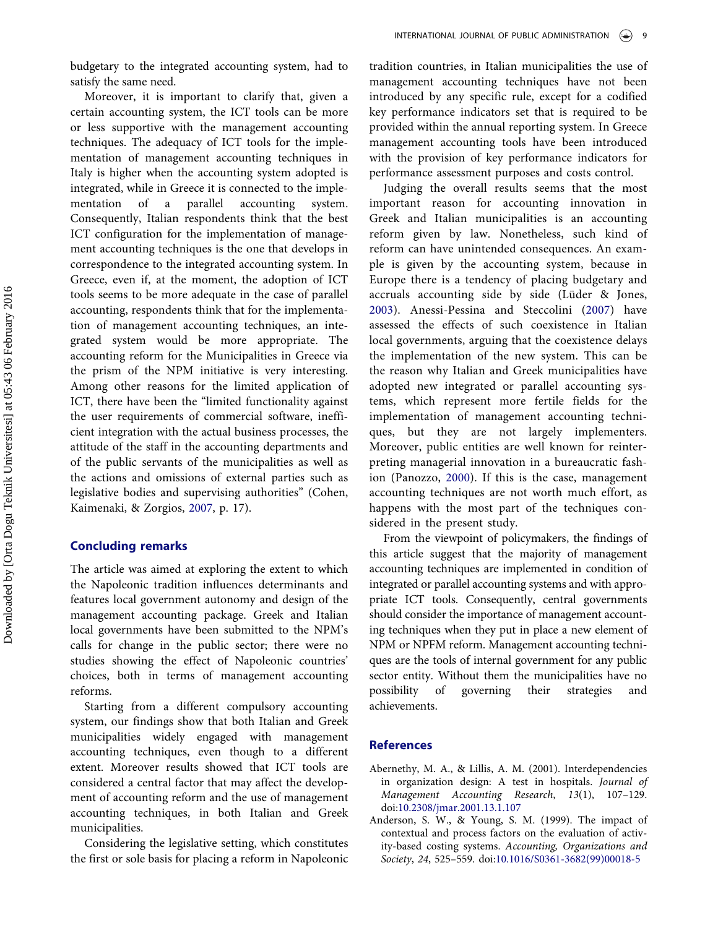<span id="page-10-22"></span>budgetary to the integrated accounting system, had to satisfy the same need.

<span id="page-10-29"></span><span id="page-10-15"></span><span id="page-10-12"></span><span id="page-10-9"></span><span id="page-10-3"></span>Moreover, it is important to clarify that, given a certain accounting system, the ICT tools can be more or less supportive with the management accounting techniques. The adequacy of ICT tools for the implementation of management accounting techniques in Italy is higher when the accounting system adopted is integrated, while in Greece it is connected to the implementation of a parallel accounting system. Consequently, Italian respondents think that the best ICT configuration for the implementation of management accounting techniques is the one that develops in correspondence to the integrated accounting system. In Greece, even if, at the moment, the adoption of ICT tools seems to be more adequate in the case of parallel accounting, respondents think that for the implementation of management accounting techniques, an integrated system would be more appropriate. The accounting reform for the Municipalities in Greece via the prism of the NPM initiative is very interesting. Among other reasons for the limited application of ICT, there have been the "limited functionality against the user requirements of commercial software, inefficient integration with the actual business processes, the attitude of the staff in the accounting departments and of the public servants of the municipalities as well as the actions and omissions of external parties such as legislative bodies and supervising authorities" (Cohen, Kaimenaki, & Zorgios, [2007](#page-10-28), p. 17).

#### <span id="page-10-26"></span><span id="page-10-23"></span><span id="page-10-8"></span><span id="page-10-7"></span><span id="page-10-0"></span>Concluding remarks

<span id="page-10-1"></span>The article was aimed at exploring the extent to which the Napoleonic tradition influences determinants and features local government autonomy and design of the management accounting package. Greek and Italian local governments have been submitted to the NPM's calls for change in the public sector; there were no studies showing the effect of Napoleonic countries' choices, both in terms of management accounting reforms.

<span id="page-10-25"></span><span id="page-10-14"></span><span id="page-10-11"></span>Starting from a different compulsory accounting system, our findings show that both Italian and Greek municipalities widely engaged with management accounting techniques, even though to a different extent. Moreover results showed that ICT tools are considered a central factor that may affect the development of accounting reform and the use of management accounting techniques, in both Italian and Greek municipalities.

<span id="page-10-13"></span>Considering the legislative setting, which constitutes the first or sole basis for placing a reform in Napoleonic tradition countries, in Italian municipalities the use of management accounting techniques have not been introduced by any specific rule, except for a codified key performance indicators set that is required to be provided within the annual reporting system. In Greece management accounting tools have been introduced with the provision of key performance indicators for performance assessment purposes and costs control.

<span id="page-10-28"></span><span id="page-10-27"></span><span id="page-10-24"></span><span id="page-10-10"></span>Judging the overall results seems that the most important reason for accounting innovation in Greek and Italian municipalities is an accounting reform given by law. Nonetheless, such kind of reform can have unintended consequences. An example is given by the accounting system, because in Europe there is a tendency of placing budgetary and accruals accounting side by side (Lüder & Jones, [2003\)](#page-11-6). Anessi-Pessina and Steccolini ([2007](#page-10-29)) have assessed the effects of such coexistence in Italian local governments, arguing that the coexistence delays the implementation of the new system. This can be the reason why Italian and Greek municipalities have adopted new integrated or parallel accounting systems, which represent more fertile fields for the implementation of management accounting techniques, but they are not largely implementers. Moreover, public entities are well known for reinterpreting managerial innovation in a bureaucratic fashion (Panozzo, [2000\)](#page-12-31). If this is the case, management accounting techniques are not worth much effort, as happens with the most part of the techniques considered in the present study.

<span id="page-10-21"></span><span id="page-10-19"></span><span id="page-10-18"></span><span id="page-10-17"></span><span id="page-10-5"></span><span id="page-10-4"></span>From the viewpoint of policymakers, the findings of this article suggest that the majority of management accounting techniques are implemented in condition of integrated or parallel accounting systems and with appropriate ICT tools. Consequently, central governments should consider the importance of management accounting techniques when they put in place a new element of NPM or NPFM reform. Management accounting techniques are the tools of internal government for any public sector entity. Without them the municipalities have no possibility of governing their strategies and achievements.

#### <span id="page-10-20"></span><span id="page-10-6"></span>References

- <span id="page-10-16"></span>Abernethy, M. A., & Lillis, A. M. (2001). Interdependencies in organization design: A test in hospitals. Journal of Management Accounting Research, 13(1), 107–129. doi:[10.2308/jmar.2001.13.1.107](http://dx.doi.org/10.2308/jmar.2001.13.1.107)
- <span id="page-10-2"></span>Anderson, S. W., & Young, S. M. (1999). The impact of contextual and process factors on the evaluation of activity-based costing systems. Accounting, Organizations and Society, 24, 525–559. doi:[10.1016/S0361-3682\(99\)00018-5](http://dx.doi.org/10.1016/S0361-3682(99)00018-5)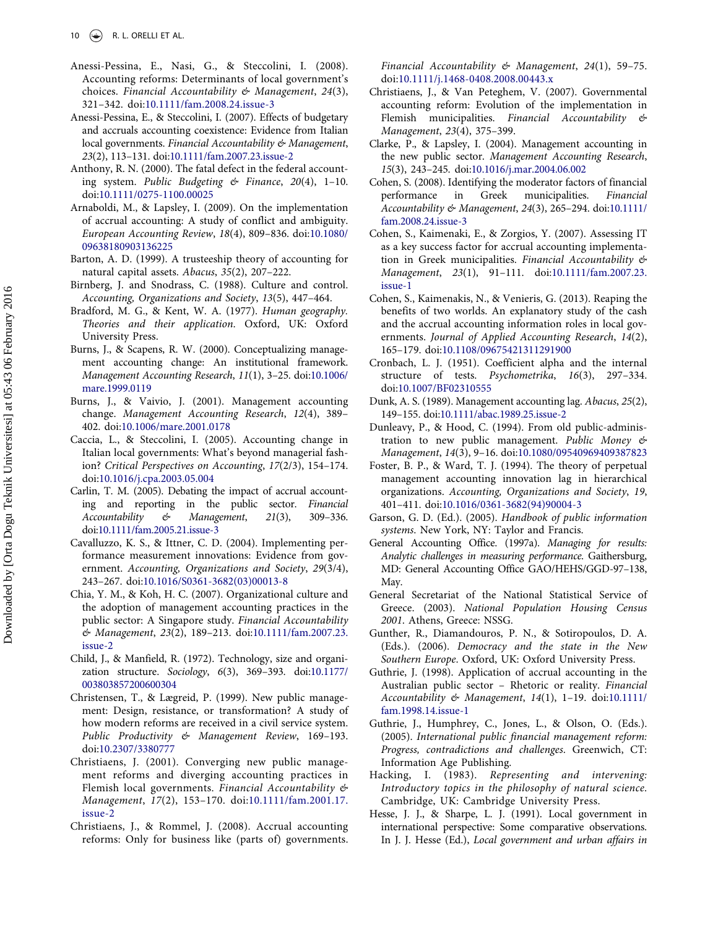- <span id="page-11-2"></span>Anessi-Pessina, E., Nasi, G., & Steccolini, I. (2008). Accounting reforms: Determinants of local government's choices. Financial Accountability & Management, 24(3), 321–342. doi:[10.1111/fam.2008.24.issue-3](http://dx.doi.org/10.1111/fam.2008.24.issue-3)
- <span id="page-11-12"></span>Anessi-Pessina, E., & Steccolini, I. (2007). Effects of budgetary and accruals accounting coexistence: Evidence from Italian local governments. Financial Accountability & Management, 23(2), 113–131. doi:[10.1111/fam.2007.23.issue-2](http://dx.doi.org/10.1111/fam.2007.23.issue-2)
- <span id="page-11-0"></span>Anthony, R. N. (2000). The fatal defect in the federal accounting system. Public Budgeting & Finance, 20(4), 1–10. doi:[10.1111/0275-1100.00025](http://dx.doi.org/10.1111/0275-1100.00025)
- <span id="page-11-1"></span>Arnaboldi, M., & Lapsley, I. (2009). On the implementation of accrual accounting: A study of conflict and ambiguity. European Accounting Review, 18(4), 809–836. doi:[10.1080/](http://dx.doi.org/10.1080/09638180903136225) [09638180903136225](http://dx.doi.org/10.1080/09638180903136225)
- <span id="page-11-10"></span>Barton, A. D. (1999). A trusteeship theory of accounting for natural capital assets. Abacus, 35(2), 207–222.
- <span id="page-11-13"></span>Birnberg, J. and Snodrass, C. (1988). Culture and control. Accounting, Organizations and Society, 13(5), 447–464.
- Bradford, M. G., & Kent, W. A. (1977). Human geography. Theories and their application. Oxford, UK: Oxford University Press.
- <span id="page-11-11"></span>Burns, J., & Scapens, R. W. (2000). Conceptualizing management accounting change: An institutional framework. Management Accounting Research, 11(1), 3–25. doi:[10.1006/](http://dx.doi.org/10.1006/mare.1999.0119) [mare.1999.0119](http://dx.doi.org/10.1006/mare.1999.0119)
- Burns, J., & Vaivio, J. (2001). Management accounting change. Management Accounting Research, 12(4), 389– 402. doi:[10.1006/mare.2001.0178](http://dx.doi.org/10.1006/mare.2001.0178)
- <span id="page-11-7"></span>Caccia, L., & Steccolini, I. (2005). Accounting change in Italian local governments: What's beyond managerial fashion? Critical Perspectives on Accounting, 17(2/3), 154–174. doi:[10.1016/j.cpa.2003.05.004](http://dx.doi.org/10.1016/j.cpa.2003.05.004)
- <span id="page-11-4"></span>Carlin, T. M. (2005). Debating the impact of accrual accounting and reporting in the public sector. Financial Accountability & Management, 21(3), 309–336. doi:[10.1111/fam.2005.21.issue-3](http://dx.doi.org/10.1111/fam.2005.21.issue-3)
- Cavalluzzo, K. S., & Ittner, C. D. (2004). Implementing performance measurement innovations: Evidence from government. Accounting, Organizations and Society, 29(3/4), 243–267. doi:[10.1016/S0361-3682\(03\)00013-8](http://dx.doi.org/10.1016/S0361-3682(03)00013-8)
- <span id="page-11-31"></span><span id="page-11-21"></span>Chia, Y. M., & Koh, H. C. (2007). Organizational culture and the adoption of management accounting practices in the public sector: A Singapore study. Financial Accountability & Management, 23(2), 189–213. doi:[10.1111/fam.2007.23.](http://dx.doi.org/10.1111/fam.2007.23.issue-2) [issue-2](http://dx.doi.org/10.1111/fam.2007.23.issue-2)
- <span id="page-11-28"></span>Child, J., & Manfield, R. (1972). Technology, size and organization structure. Sociology, 6(3), 369–393. doi:[10.1177/](http://dx.doi.org/10.1177/003803857200600304) [003803857200600304](http://dx.doi.org/10.1177/003803857200600304)
- <span id="page-11-26"></span>Christensen, T., & Lægreid, P. (1999). New public management: Design, resistance, or transformation? A study of how modern reforms are received in a civil service system. Public Productivity & Management Review, 169–193. doi:[10.2307/3380777](http://dx.doi.org/10.2307/3380777)
- <span id="page-11-32"></span>Christiaens, J. (2001). Converging new public management reforms and diverging accounting practices in Flemish local governments. Financial Accountability & Management, 17(2), 153–170. doi:[10.1111/fam.2001.17.](http://dx.doi.org/10.1111/fam.2001.17.issue-2) [issue-2](http://dx.doi.org/10.1111/fam.2001.17.issue-2)
- <span id="page-11-27"></span>Christiaens, J., & Rommel, J. (2008). Accrual accounting reforms: Only for business like (parts of) governments.

Financial Accountability & Management, 24(1), 59–75. doi:[10.1111/j.1468-0408.2008.00443.x](http://dx.doi.org/10.1111/j.1468-0408.2008.00443.x)

- <span id="page-11-15"></span>Christiaens, J., & Van Peteghem, V. (2007). Governmental accounting reform: Evolution of the implementation in Flemish municipalities. Financial Accountability & Management, 23(4), 375–399.
- <span id="page-11-16"></span>Clarke, P., & Lapsley, I. (2004). Management accounting in the new public sector. Management Accounting Research, 15(3), 243–245. doi:[10.1016/j.mar.2004.06.002](http://dx.doi.org/10.1016/j.mar.2004.06.002)
- <span id="page-11-9"></span>Cohen, S. (2008). Identifying the moderator factors of financial performance in Greek municipalities. Financial Accountability & Management, 24(3), 265–294. doi:[10.1111/](http://dx.doi.org/10.1111/fam.2008.24.issue-3) [fam.2008.24.issue-3](http://dx.doi.org/10.1111/fam.2008.24.issue-3)
- <span id="page-11-22"></span>Cohen, S., Kaimenaki, E., & Zorgios, Y. (2007). Assessing IT as a key success factor for accrual accounting implementation in Greek municipalities. Financial Accountability & Management, 23(1), 91–111. doi:[10.1111/fam.2007.23.](http://dx.doi.org/10.1111/fam.2007.23.issue-1) [issue-1](http://dx.doi.org/10.1111/fam.2007.23.issue-1)
- <span id="page-11-23"></span><span id="page-11-18"></span>Cohen, S., Kaimenakis, N., & Venieris, G. (2013). Reaping the benefits of two worlds. An explanatory study of the cash and the accrual accounting information roles in local governments. Journal of Applied Accounting Research, 14(2), 165–179. doi:[10.1108/09675421311291900](http://dx.doi.org/10.1108/09675421311291900)
- <span id="page-11-20"></span>Cronbach, L. J. (1951). Coefficient alpha and the internal structure of tests. Psychometrika, 16(3), 297–334. doi:[10.1007/BF02310555](http://dx.doi.org/10.1007/BF02310555)
- Dunk, A. S. (1989). Management accounting lag. Abacus, 25(2), 149–155. doi:[10.1111/abac.1989.25.issue-2](http://dx.doi.org/10.1111/abac.1989.25.issue-2)
- <span id="page-11-6"></span>Dunleavy, P., & Hood, C. (1994). From old public-administration to new public management. Public Money & Management, 14(3), 9–16. doi:[10.1080/09540969409387823](http://dx.doi.org/10.1080/09540969409387823)
- <span id="page-11-19"></span>Foster, B. P., & Ward, T. J. (1994). The theory of perpetual management accounting innovation lag in hierarchical organizations. Accounting, Organizations and Society, 19, 401–411. doi:[10.1016/0361-3682\(94\)90004-3](http://dx.doi.org/10.1016/0361-3682(94)90004-3)
- <span id="page-11-8"></span>Garson, G. D. (Ed.). (2005). Handbook of public information systems. New York, NY: Taylor and Francis.
- <span id="page-11-17"></span>General Accounting Office. (1997a). Managing for results: Analytic challenges in measuring performance. Gaithersburg, MD: General Accounting Office GAO/HEHS/GGD-97–138, May.
- General Secretariat of the National Statistical Service of Greece. (2003). National Population Housing Census 2001. Athens, Greece: NSSG.
- <span id="page-11-24"></span><span id="page-11-14"></span>Gunther, R., Diamandouros, P. N., & Sotiropoulos, D. A. (Eds.). (2006). Democracy and the state in the New Southern Europe. Oxford, UK: Oxford University Press.
- <span id="page-11-30"></span>Guthrie, J. (1998). Application of accrual accounting in the Australian public sector – Rhetoric or reality. Financial Accountability & Management,  $14(1)$ , 1-19. doi:[10.1111/](http://dx.doi.org/10.1111/fam.1998.14.issue-1) [fam.1998.14.issue-1](http://dx.doi.org/10.1111/fam.1998.14.issue-1)
- <span id="page-11-29"></span>Guthrie, J., Humphrey, C., Jones, L., & Olson, O. (Eds.). (2005). International public financial management reform: Progress, contradictions and challenges. Greenwich, CT: Information Age Publishing.
- <span id="page-11-5"></span>Hacking, I. (1983). Representing and intervening: Introductory topics in the philosophy of natural science. Cambridge, UK: Cambridge University Press.
- <span id="page-11-25"></span><span id="page-11-3"></span>Hesse, J. J., & Sharpe, L. J. (1991). Local government in international perspective: Some comparative observations. In J. J. Hesse (Ed.), Local government and urban affairs in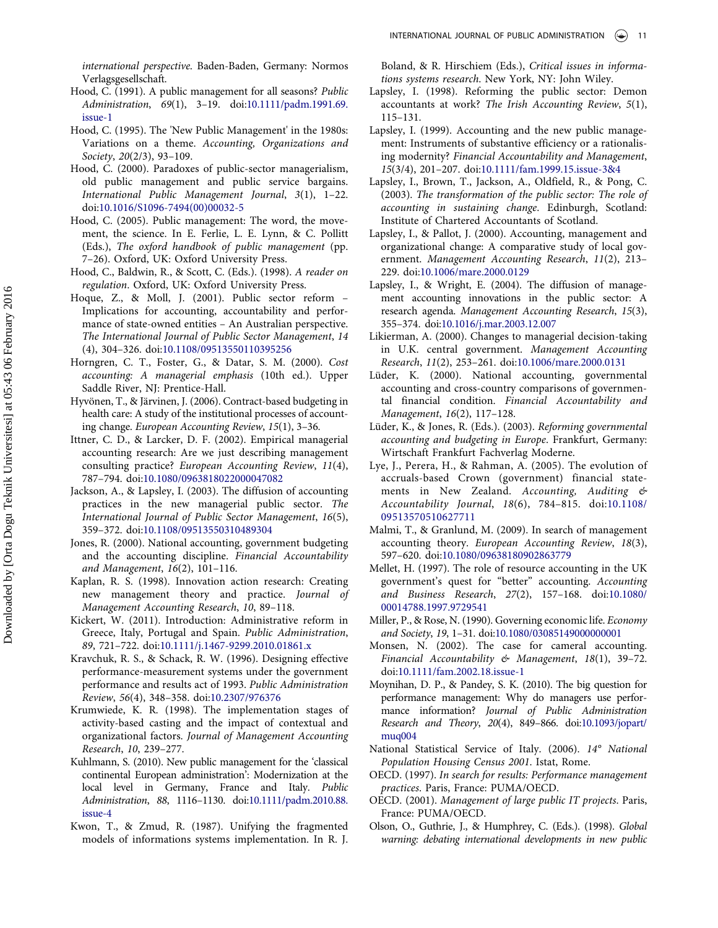international perspective. Baden-Baden, Germany: Normos Verlagsgesellschaft.

- <span id="page-12-5"></span>Hood, C. (1991). A public management for all seasons? Public Administration, 69(1), 3–19. doi:[10.1111/padm.1991.69.](http://dx.doi.org/10.1111/padm.1991.69.issue-1) [issue-1](http://dx.doi.org/10.1111/padm.1991.69.issue-1)
- <span id="page-12-23"></span>Hood, C. (1995). The 'New Public Management' in the 1980s: Variations on a theme. Accounting, Organizations and Society, 20(2/3), 93–109.
- <span id="page-12-29"></span>Hood, C. (2000). Paradoxes of public-sector managerialism, old public management and public service bargains. International Public Management Journal, 3(1), 1–22. doi:[10.1016/S1096-7494\(00\)00032-5](http://dx.doi.org/10.1016/S1096-7494(00)00032-5)
- <span id="page-12-0"></span>Hood, C. (2005). Public management: The word, the movement, the science. In E. Ferlie, L. E. Lynn, & C. Pollitt (Eds.), The oxford handbook of public management (pp. 7–26). Oxford, UK: Oxford University Press.
- <span id="page-12-9"></span>Hood, C., Baldwin, R., & Scott, C. (Eds.). (1998). A reader on regulation. Oxford, UK: Oxford University Press.
- <span id="page-12-3"></span>Hoque, Z., & Moll, J. (2001). Public sector reform – Implications for accounting, accountability and performance of state-owned entities – An Australian perspective. The International Journal of Public Sector Management, 14 (4), 304–326. doi:[10.1108/09513550110395256](http://dx.doi.org/10.1108/09513550110395256)
- <span id="page-12-31"></span>Horngren, C. T., Foster, G., & Datar, S. M. (2000). Cost accounting: A managerial emphasis (10th ed.). Upper Saddle River, NJ: Prentice-Hall.
- <span id="page-12-20"></span>Hyvönen, T., & Järvinen, J. (2006). Contract-based budgeting in health care: A study of the institutional processes of accounting change. European Accounting Review, 15(1), 3–36.
- <span id="page-12-28"></span>Ittner, C. D., & Larcker, D. F. (2002). Empirical managerial accounting research: Are we just describing management consulting practice? European Accounting Review, 11(4), 787–794. doi:[10.1080/0963818022000047082](http://dx.doi.org/10.1080/0963818022000047082)
- <span id="page-12-21"></span>Jackson, A., & Lapsley, I. (2003). The diffusion of accounting practices in the new managerial public sector. The International Journal of Public Sector Management, 16(5), 359–372. doi:[10.1108/09513550310489304](http://dx.doi.org/10.1108/09513550310489304)
- <span id="page-12-1"></span>Jones, R. (2000). National accounting, government budgeting and the accounting discipline. Financial Accountability and Management, 16(2), 101–116.
- <span id="page-12-8"></span>Kaplan, R. S. (1998). Innovation action research: Creating new management theory and practice. Journal of Management Accounting Research, 10, 89–118.
- <span id="page-12-7"></span>Kickert, W. (2011). Introduction: Administrative reform in Greece, Italy, Portugal and Spain. Public Administration, 89, 721–722. doi:[10.1111/j.1467-9299.2010.01861.x](http://dx.doi.org/10.1111/j.1467-9299.2010.01861.x)
- <span id="page-12-6"></span>Kravchuk, R. S., & Schack, R. W. (1996). Designing effective performance-measurement systems under the government performance and results act of 1993. Public Administration Review, 56(4), 348–358. doi:[10.2307/976376](http://dx.doi.org/10.2307/976376)
- <span id="page-12-10"></span>Krumwiede, K. R. (1998). The implementation stages of activity-based casting and the impact of contextual and organizational factors. Journal of Management Accounting Research, 10, 239–277.
- <span id="page-12-17"></span>Kuhlmann, S. (2010). New public management for the 'classical continental European administration': Modernization at the local level in Germany, France and Italy. Public Administration, 88, 1116–1130. doi:[10.1111/padm.2010.88.](http://dx.doi.org/10.1111/padm.2010.88.issue-4) [issue-4](http://dx.doi.org/10.1111/padm.2010.88.issue-4)
- Kwon, T., & Zmud, R. (1987). Unifying the fragmented models of informations systems implementation. In R. J.

<span id="page-12-15"></span>Boland, & R. Hirschiem (Eds.), Critical issues in informations systems research. New York, NY: John Wiley.

- <span id="page-12-16"></span>Lapsley, I. (1998). Reforming the public sector: Demon accountants at work? The Irish Accounting Review, 5(1), 115–131.
- Lapsley, I. (1999). Accounting and the new public management: Instruments of substantive efficiency or a rationalising modernity? Financial Accountability and Management, 15(3/4), 201–207. doi:[10.1111/fam.1999.15.issue-3&4](http://dx.doi.org/10.1111/fam.1999.15.issue-3%264)
- <span id="page-12-18"></span><span id="page-12-2"></span>Lapsley, I., Brown, T., Jackson, A., Oldfield, R., & Pong, C. (2003). The transformation of the public sector: The role of accounting in sustaining change. Edinburgh, Scotland: Institute of Chartered Accountants of Scotland.
- <span id="page-12-11"></span>Lapsley, I., & Pallot, J. (2000). Accounting, management and organizational change: A comparative study of local government. Management Accounting Research, 11(2), 213– 229. doi:[10.1006/mare.2000.0129](http://dx.doi.org/10.1006/mare.2000.0129)
- <span id="page-12-22"></span>Lapsley, I., & Wright, E. (2004). The diffusion of management accounting innovations in the public sector: A research agenda. Management Accounting Research, 15(3), 355–374. doi:[10.1016/j.mar.2003.12.007](http://dx.doi.org/10.1016/j.mar.2003.12.007)
- <span id="page-12-13"></span>Likierman, A. (2000). Changes to managerial decision-taking in U.K. central government. Management Accounting Research, 11(2), 253–261. doi:[10.1006/mare.2000.0131](http://dx.doi.org/10.1006/mare.2000.0131)
- <span id="page-12-24"></span>Lüder, K. (2000). National accounting, governmental accounting and cross-country comparisons of governmental financial condition. Financial Accountability and Management, 16(2), 117–128.
- <span id="page-12-27"></span>Lüder, K., & Jones, R. (Eds.). (2003). Reforming governmental accounting and budgeting in Europe. Frankfurt, Germany: Wirtschaft Frankfurt Fachverlag Moderne.
- <span id="page-12-12"></span>Lye, J., Perera, H., & Rahman, A. (2005). The evolution of accruals-based Crown (government) financial statements in New Zealand. Accounting, Auditing & Accountability Journal, 18(6), 784–815. doi:[10.1108/](http://dx.doi.org/10.1108/09513570510627711) [09513570510627711](http://dx.doi.org/10.1108/09513570510627711)
- <span id="page-12-14"></span>Malmi, T., & Granlund, M. (2009). In search of management accounting theory. European Accounting Review, 18(3), 597–620. doi:[10.1080/09638180902863779](http://dx.doi.org/10.1080/09638180902863779)
- <span id="page-12-25"></span>Mellet, H. (1997). The role of resource accounting in the UK government's quest for "better" accounting. Accounting and Business Research, 27(2), 157–168. doi:[10.1080/](http://dx.doi.org/10.1080/00014788.1997.9729541) [00014788.1997.9729541](http://dx.doi.org/10.1080/00014788.1997.9729541)
- <span id="page-12-4"></span>Miller, P., & Rose, N. (1990). Governing economic life. Economy and Society, 19, 1–31. doi:[10.1080/03085149000000001](http://dx.doi.org/10.1080/03085149000000001)
- Monsen, N. (2002). The case for cameral accounting. Financial Accountability & Management, 18(1), 39–72. doi:[10.1111/fam.2002.18.issue-1](http://dx.doi.org/10.1111/fam.2002.18.issue-1)
- <span id="page-12-30"></span><span id="page-12-19"></span>Moynihan, D. P., & Pandey, S. K. (2010). The big question for performance management: Why do managers use performance information? Journal of Public Administration Research and Theory, 20(4), 849–866. doi:[10.1093/jopart/](http://dx.doi.org/10.1093/jopart/muq004) [muq004](http://dx.doi.org/10.1093/jopart/muq004)
- <span id="page-12-26"></span>National Statistical Service of Italy. (2006). 14° National Population Housing Census 2001. Istat, Rome.
- OECD. (1997). In search for results: Performance management practices. Paris, France: PUMA/OECD.
- OECD. (2001). Management of large public IT projects. Paris, France: PUMA/OECD.
- Olson, O., Guthrie, J., & Humphrey, C. (Eds.). (1998). Global warning: debating international developments in new public